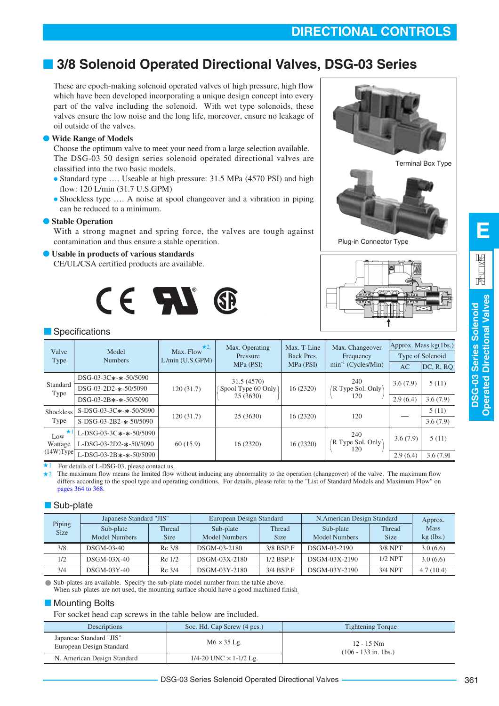# **DIRECTIONAL CONTROLS**

# ■ **3/8 Solenoid Operated Directional Valves, DSG-03 Series**

These are epoch-making solenoid operated valves of high pressure, high flow which have been developed incorporating a unique design concept into every part of the valve including the solenoid. With wet type solenoids, these valves ensure the low noise and the long life, moreover, ensure no leakage of oil outside of the valves.

### **Wide Range of Models**

Choose the optimum valve to meet your need from a large selection available. The DSG-03 50 design series solenoid operated directional valves are classified into the two basic models.

- Standard type .... Useable at high pressure: 31.5 MPa (4570 PSI) and high flow: 120 L/min (31.7 U.S.GPM)
- Shockless type .... A noise at spool changeover and a vibration in piping can be reduced to a minimum.

### ● **Stable Operation**

With a strong magnet and spring force, the valves are tough against contamination and thus ensure a stable operation.

### Usable in products of various standards

CE/UL/CSA certified products are available.



Terminal Box Type



Plug-in Connector Type



### **Specifications**

| Valve          | Model                          | $\star$ 2<br>Max. Flow | Max. Operating     | Max. T-Line | Max. Changeover         |          | Approx. Mass $kg(1bs.)$ |
|----------------|--------------------------------|------------------------|--------------------|-------------|-------------------------|----------|-------------------------|
| Type           | <b>Numbers</b>                 | L/min (U.S.GPM)        | Pressure           | Back Pres.  | Frequency               |          | Type of Solenoid        |
|                |                                |                        | MPa (PSI)          | MPa (PSI)   | $min^{-1}$ (Cycles/Min) | AC       | DC, R, RQ               |
|                | $DSG-03-3C*-+50/5090$          |                        | 31.5 (4570)        |             | 240                     | 3.6(7.9) | 5(11)                   |
| Standard       | DSG-03-2D2-*-50/5090           | 120(31.7)              | Spool Type 60 Only | 16 (2320)   | R Type Sol. Only        |          |                         |
| Type           | $DSG-03-2B$ *-*-50/5090        |                        | 25(3630)           |             | 120                     | 2.9(6.4) | 3.6(7.9)                |
| Shockless      | $S-DSG-03-3C*-*-50/5090$       | 120(31.7)              | 25(3630)           | 16(2320)    | 120                     |          | 5(11)                   |
| Type           | $S-DSG-03-2B2-$ *-50/5090      |                        |                    |             |                         |          | 3.6(7.9)                |
| $\star$<br>Low | L-DSG-03-3C*-*-50/5090         |                        |                    |             | 240                     |          |                         |
| Wattage        | L-DSG-03-2D2-*-50/5090         | 60(15.9)               | 16 (2320)          | 16(2320)    | R Type Sol. Only<br>120 | 3.6(7.9) | 5(11)                   |
| (14W)Type      | L-DSG-03-2B $*$ - $*$ -50/5090 |                        |                    |             |                         | 2.9(6.4) | 3.6 (7.91)              |

For details of L-DSG-03, please contact us. ★1

 $+2$ The maximum flow means the limited flow without inducing any abnormality to the operation (changeover) of the valve. The maximum flow differs according to the spool type and operating conditions. For details, please refer to the "List of Standard Models and Maximum Flow" on [pages 364 to 368.](#page-3-0)

### Sub-plate

|                       | Japanese Standard "JIS"           |                       | European Design Standard   |                       | N. American Design Standard       |                       | Approx.                    |
|-----------------------|-----------------------------------|-----------------------|----------------------------|-----------------------|-----------------------------------|-----------------------|----------------------------|
| Piping<br><b>Size</b> | Sub-plate<br><b>Model Numbers</b> | Thread<br><b>Size</b> | Sub-plate<br>Model Numbers | Thread<br><b>Size</b> | Sub-plate<br><b>Model Numbers</b> | Thread<br><b>Size</b> | <b>Mass</b><br>$kg$ (lbs.) |
| 3/8                   | DSGM-03-40                        | Rc 3/8                | DSGM-03-2180               | 3/8 BSP.F             | DSGM-03-2190                      | 3/8 NPT               | 3.0(6.6)                   |
| 1/2                   | $DSGM-03X-40$                     | $Rc$ 1/2              | DSGM-03X-2180              | $1/2$ BSP.F           | DSGM-03X-2190                     | $1/2$ NPT             | 3.0(6.6)                   |
| 3/4                   | $DSGM-03Y-40$                     | Rc 3/4                | DSGM-03Y-2180              | 3/4 BSP F             | DSGM-03Y-2190                     | $3/4$ NPT             | 4.7(10.4)                  |

Sub-plates are available. Specify the sub-plate model number from the table above. When sub-plates are not used, the mounting surface should have a good machined finish

### **Mounting Bolts**

For socket head cap screws in the table below are included.

| Descriptions                                        | Soc. Hd. Cap Screw (4 pcs.)   | <b>Tightening Torque</b>               |
|-----------------------------------------------------|-------------------------------|----------------------------------------|
| Japanese Standard "JIS"<br>European Design Standard | $M6 \times 35$ Lg.            | $12 - 15$ Nm<br>$(106 - 133$ in. 1bs.) |
| N. American Design Standard                         | 1/4-20 UNC $\times$ 1-1/2 Lg. |                                        |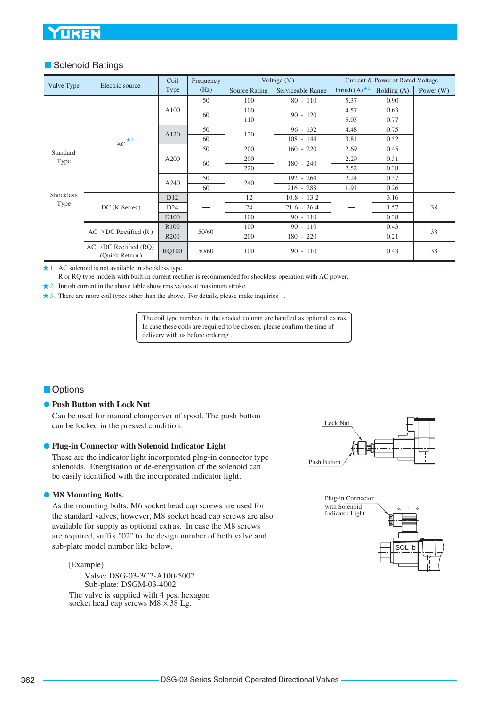# UKEN

### **Solenoid Ratings**

|                  |                                                      | Coil             | Frequency |               | Voltage $(V)$     |                        | Current & Power at Rated Voltage |             |
|------------------|------------------------------------------------------|------------------|-----------|---------------|-------------------|------------------------|----------------------------------|-------------|
| Valve Type       | Electric source                                      | Type             | (Hz)      | Source Rating | Serviceable Range | Inrush $(A)^{\star 2}$ | Holding $(A)$                    | Power $(W)$ |
|                  |                                                      |                  | 50        | 100           | $80 - 110$        | 5.37                   | 0.90                             |             |
|                  |                                                      | A100             | 60        | 100           | $90 - 120$        | 4.57                   | 0.63                             |             |
|                  |                                                      |                  |           | 110           |                   | 5.03                   | 0.77                             |             |
|                  |                                                      | A120             | 50        | 120           | $96 - 132$        | 4.48                   | 0.75                             |             |
|                  | $AC^{\star 1}$                                       |                  | 60        |               | $108 - 144$       | 3.81                   | 0.52                             |             |
| Standard         |                                                      |                  | 50        | 200           | $160 - 220$       | 2.69                   | 0.45                             |             |
| Type             |                                                      | A200             | 60        | 200           | $180 - 240$       | 2.29                   | 0.31                             |             |
|                  |                                                      |                  |           | 220           |                   | 2.52                   | 0.38                             |             |
|                  |                                                      | A240             | 50        | 240           | $192 - 264$       | 2.24                   | 0.37                             |             |
|                  |                                                      |                  | 60        |               | $216 - 288$       | 1.91                   | 0.26                             |             |
| <b>Shockless</b> |                                                      | D <sub>12</sub>  |           | 12            | $10.8 - 13.2$     |                        | 3.16                             |             |
| Type             | DC (K Series)                                        | D <sub>24</sub>  |           | 24            | $21.6 - 26.4$     |                        | 1.57                             | 38          |
|                  |                                                      | D <sub>100</sub> |           | 100           | $90 - 110$        |                        | 0.38                             |             |
|                  |                                                      | R <sub>100</sub> | 50/60     | 100           | $90 - 110$        |                        | 0.43                             | 38          |
|                  | $AC \rightarrow DC$ Rectified (R)                    | R <sub>200</sub> |           | 200           | $180 - 220$       |                        | 0.21                             |             |
|                  | $AC \rightarrow DC$ Rectified (RO)<br>(Ouick Return) | <b>RQ100</b>     | 50/60     | 100           | $90 - 110$        |                        | 0.43                             | 38          |

1. AC solenoid is not available in shockless type.

R or RQ type models with built-in current rectifier is recommended for shockless operation with AC power.

2. Inrush current in the above table show rms values at maximum stroke.

3. There are more coil types other than the above. For details, please make inquiries .

The coil type numbers in the shaded column are handled as optional extras. In case these coils are required to be chosen, please confirm the time of delivery with us before ordering .

### **Options**

#### **• Push Button with Lock Nut**

Can be used for manual changeover of spool. The push button can be locked in the pressed condition.

#### **Plug-in Connector with Solenoid Indicator Light**

These are the indicator light incorporated plug-in connector type solenoids. Energisation or de-energisation of the solenoid can be easily identified with the incorporated indicator light.

#### **M8 Mounting Bolts.**

As the mounting bolts, M6 socket head cap screws are used for the standard valves, however, M8 socket head cap screws are also available for supply as optional extras. In case the M8 screws are required, suffix "02" to the design number of both valve and sub-plate model number like below.

#### (Example)

The valve is supplied with 4 pcs. hexagon socket head cap screws  $M8 \times 38$  Lg. Valve: DSG-03-3C2-A100-5002 Sub-plate: DSGM-03-4002



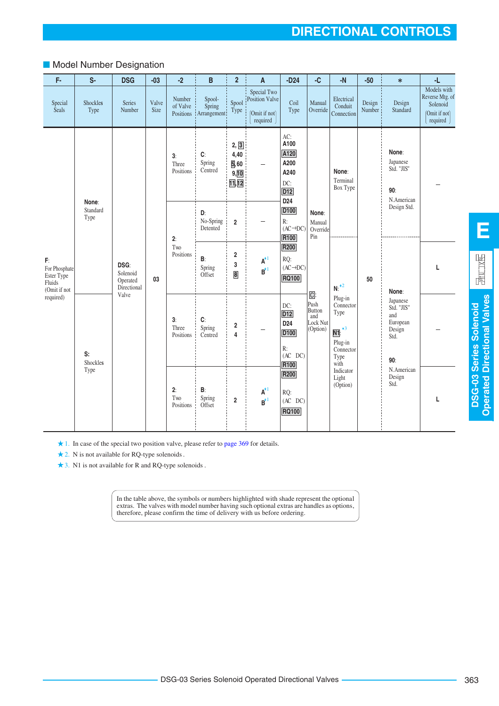### ■ Model Number Designation

| F-                                                          | $S-$                      | <b>DSG</b>                                  | $-03$         | $-2$                            | B                                 | $\overline{2}$                          | A                                                          | $-D24$                                                                          | -C                                                                         | $-N$                                                                                                    | $-50$            | $\ast$                                                             | -L                                                                        |
|-------------------------------------------------------------|---------------------------|---------------------------------------------|---------------|---------------------------------|-----------------------------------|-----------------------------------------|------------------------------------------------------------|---------------------------------------------------------------------------------|----------------------------------------------------------------------------|---------------------------------------------------------------------------------------------------------|------------------|--------------------------------------------------------------------|---------------------------------------------------------------------------|
| Special<br>Seals                                            | Shockles<br>Type          | Series<br>Number                            | Valve<br>Size | Number<br>of Valve<br>Positions | Spool-<br>Spring<br>: Arrangement | Spool<br>Type                           | Special Two<br>Position Valve<br>(Omit if not)<br>required | Coil<br>Type                                                                    | Manual<br>Override                                                         | Electrical<br>Conduit<br>Connection                                                                     | Design<br>Number | Design<br>Standard                                                 | Models with<br>Reverse Mtg. of<br>Solenoid<br>(Omit if not)<br>required ) |
|                                                             |                           |                                             |               | 3:<br>Three<br>Positions        | $\mathbf{C}$<br>Spring<br>Centred | 2, 3<br>4,40<br>5,60<br>9, 10<br>11, 12 | $\qquad \qquad -$                                          | AC:<br>A100<br>A120<br>A200<br>A240<br>DC:<br>D <sub>12</sub>                   |                                                                            | None:<br>Terminal<br>Box Type                                                                           |                  | None:<br>Japanese<br>Std. "JIS"<br>90:<br>N.American               |                                                                           |
|                                                             | None:<br>Standard<br>Type |                                             |               | 2:                              | D:<br>No-Spring<br>Detented       | $\boldsymbol{2}$                        |                                                            | D <sub>24</sub><br>D <sub>100</sub><br>R:<br>$(AC \rightarrow DC)$<br>R100      | None:<br>Manual<br>Override<br>Pin                                         |                                                                                                         |                  | Design Std.                                                        |                                                                           |
| F:<br>For Phosphate<br>Ester Type<br>Fluids<br>(Omit if not |                           | DSG:<br>Solenoid<br>Operated<br>Directional | 03            | Two<br>Positions                | B:<br>Spring<br>Offset            | 2<br>3<br>$\bf{8}$                      | $\textbf{A}^{\star 1}$<br>$\mathbf{B}^{*1}$                | R200<br>RQ:<br>$(AC \rightarrow DC)$<br><b>RQ100</b>                            |                                                                            | $N:$ <sup>*2</sup>                                                                                      | 50               | None:                                                              | L                                                                         |
| required)                                                   | S:<br>Shockles            | Valve                                       |               | 3:<br>Three<br>Positions        | C:<br>Spring<br>Centred           | 2<br>4                                  |                                                            | DC:<br>D12<br>D <sub>24</sub><br>D <sub>100</sub><br>R:<br>$(AC$ DC $)$<br>R100 | $\overline{\mathsf{C}}$ :<br>Push<br>Button<br>and<br>Lock Nut<br>(Option) | Plug-in<br>Connector<br>Type<br>$\overline{\mathsf{N1}}$ : $*3$<br>Plug-in<br>Connector<br>Type<br>with |                  | Japanese<br>Std. "JIS"<br>and<br>European<br>Design<br>Std.<br>90: |                                                                           |
|                                                             | Type                      |                                             |               | 2:<br>Two<br>Positions          | B:<br>Spring<br>Offset            | $\overline{\mathbf{2}}$                 | $A^{\star 1}$<br>$B^{\star 1}$                             | R200<br>RQ:<br>$(AC$ DC $)$<br><b>RQ100</b>                                     |                                                                            | Indicator<br>Light<br>(Option)                                                                          |                  | N.American<br>Design<br>Std.                                       | т                                                                         |

1. In case of the special two position valve, please refer to [page 369](#page-8-0) for details.

2. N is not available for RQ-type solenoids .

3. N1 is not available for R and RQ-type solenoids .

In the table above, the symbols or numbers highlighted with shade represent the optional extras. The valves with model number having such optional extras are handles as options, therefore, please confirm the time of delivery with us before ordering.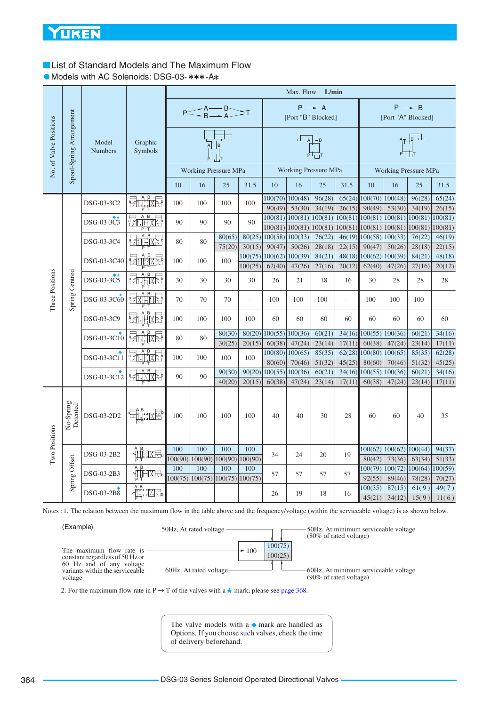# <span id="page-3-0"></span>**List of Standard Models and The Maximum Flow**

• Models with AC Solenoids: DSG-03-\*\*\*-A\*

|                        |                          |                         |                                                                                                                                                                                                                                                                                                                                                                                                                                                                                                               |     |     |                                                                           |                          |                               | Max. Flow                                                 | L/min             |                  |         |                                                                                 |                   |                   |
|------------------------|--------------------------|-------------------------|---------------------------------------------------------------------------------------------------------------------------------------------------------------------------------------------------------------------------------------------------------------------------------------------------------------------------------------------------------------------------------------------------------------------------------------------------------------------------------------------------------------|-----|-----|---------------------------------------------------------------------------|--------------------------|-------------------------------|-----------------------------------------------------------|-------------------|------------------|---------|---------------------------------------------------------------------------------|-------------------|-------------------|
|                        |                          |                         |                                                                                                                                                                                                                                                                                                                                                                                                                                                                                                               |     |     | $P \leq A \rightarrow B$ $T$                                              |                          |                               | [Port "B" Blocked]                                        | $P \rightarrow A$ |                  |         | [Port "A" Blocked]                                                              | $P \rightarrow B$ |                   |
| No. of Valve Positions | Spool-Spring Arrangement | Model<br><b>Numbers</b> | Graphic<br>Symbols                                                                                                                                                                                                                                                                                                                                                                                                                                                                                            |     |     | B                                                                         |                          |                               | $\overline{L}$ $\overline{A}$ $\overline{A}$ <sup>B</sup> | ┢┽┽╁              |                  |         |                                                                                 | $A + B$           |                   |
|                        |                          |                         |                                                                                                                                                                                                                                                                                                                                                                                                                                                                                                               |     |     | <b>Working Pressure MPa</b>                                               |                          |                               | <b>Working Pressure MPa</b>                               |                   |                  |         | Working Pressure MPa                                                            |                   |                   |
|                        |                          |                         |                                                                                                                                                                                                                                                                                                                                                                                                                                                                                                               | 10  | 16  | 25                                                                        | 31.5                     | 10                            | 16                                                        | 25                | 31.5             | 10      | 16                                                                              | 25                | 31.5              |
|                        |                          | DSG-03-3C2              | $\frac{1}{2}$                                                                                                                                                                                                                                                                                                                                                                                                                                                                                                 | 100 | 100 | 100                                                                       | 100                      | 90(49)                        | $100(70)$ 100(48)<br>53(30)                               | 96(28)<br>34(19)  | 65(24)<br>26(15) | 90(49)  | $100(70)$ $100(48)$<br>53(30)                                                   | 96(28)<br>34(19)  | 65(24)<br>26(15)  |
|                        |                          |                         | $\beta$                                                                                                                                                                                                                                                                                                                                                                                                                                                                                                       |     |     |                                                                           |                          |                               |                                                           |                   |                  |         | $100(81)   100(81)   100(81)   100(81)   100(81)   100(81)   100(81)   100(81)$ |                   |                   |
|                        |                          | DSG-03-3C3              | <b>PATTHIXING</b>                                                                                                                                                                                                                                                                                                                                                                                                                                                                                             | 90  | 90  | 90                                                                        | 90                       |                               | 100(81)   100(81)                                         | 100(81)           |                  |         | 100(81) 100(81) 100(81) 100(81)                                                 |                   | 100(81)           |
|                        |                          | DSG-03-3C4              | $A$ $B$<br>$\frac{a}{b}$<br><b>गमात्र</b> स्स                                                                                                                                                                                                                                                                                                                                                                                                                                                                 | 80  | 80  | 80(65)                                                                    | 80(25)                   | 100(58) 100(33)               |                                                           | 76(22)            | 46(19)           |         | 100(58) 100(33)                                                                 | 76(22)            | 46(19)            |
|                        |                          |                         |                                                                                                                                                                                                                                                                                                                                                                                                                                                                                                               |     |     | 75(20)                                                                    | 30(15)                   | 90(47)                        | 50(26)                                                    | 28(18)            | 22(15)           | 90(47)  | 50(26)                                                                          | 28(18)            | 22(15)            |
|                        |                          | DSG-03-3C40             | 动脾体                                                                                                                                                                                                                                                                                                                                                                                                                                                                                                           | 100 | 100 | 100                                                                       |                          | $100(75)$ $100(62)$ $100(39)$ |                                                           | 84(21)            |                  |         | $48(18)$ 100(62) 100(39)                                                        | 84(21)            | 48(18)            |
|                        |                          |                         |                                                                                                                                                                                                                                                                                                                                                                                                                                                                                                               |     |     |                                                                           | 100(25)                  | 62(40)                        | 47(26)                                                    | 27(16)            | 20(12)           | 62(40)  | 47(26)                                                                          | 27(16)            | 20(12)            |
|                        |                          | DSG-03-3C5              | $\beta$<br>学                                                                                                                                                                                                                                                                                                                                                                                                                                                                                                  | 30  | 30  | 30                                                                        | 30                       | 26                            | 21                                                        | 18                | 16               | 30      | 28                                                                              | 28                | 28                |
| Three Positions        | Spring Centred           | DSG-03-3C60             | $\begin{array}{c}\n\overrightarrow{AB}\\ \overrightarrow{A} \times \overrightarrow{A} \\ \overrightarrow{B}\n\end{array}$                                                                                                                                                                                                                                                                                                                                                                                     | 70  | 70  | 70                                                                        | $\overline{\phantom{a}}$ | 100                           | 100                                                       | 100               |                  | 100     | 100                                                                             | 100               |                   |
|                        |                          | DSG-03-3C9              |                                                                                                                                                                                                                                                                                                                                                                                                                                                                                                               | 100 | 100 | 100                                                                       | 100                      | 60                            | 60                                                        | 60                | 60               | 60      | 60                                                                              | 60                | 60                |
|                        |                          |                         | <b>Zutike</b>                                                                                                                                                                                                                                                                                                                                                                                                                                                                                                 |     |     | 80(30)                                                                    | 80(20)                   | 100(55) 100(36)               |                                                           | 60(21)            | 34(16)           |         | 100(55) 100(36)                                                                 | 60(21)            | 34(16)            |
|                        |                          | DSG-03-3C10             |                                                                                                                                                                                                                                                                                                                                                                                                                                                                                                               | 80  | 80  | 30(25)                                                                    | 20(15)                   | 60(38)                        | 47(24)                                                    | 23(14)            | 17(11)           | 60(38)  | 47(24)                                                                          | 23(14)            | 17(11)            |
|                        |                          | DSG-03-3C11             | <b>PATTLIXKE</b>                                                                                                                                                                                                                                                                                                                                                                                                                                                                                              | 100 | 100 | 100                                                                       | 100                      |                               | 100(80)   100(65)                                         | 85(35)            | 62(28)           |         | 100(80)   100(65)                                                               | 85(35)            | 62(28)            |
|                        |                          |                         |                                                                                                                                                                                                                                                                                                                                                                                                                                                                                                               |     |     |                                                                           |                          | 80(60)                        | 70(46)                                                    | 51(32)            | 45(25)           | 80(60)  | 70(46)                                                                          | 51(32)            | 45(25)            |
|                        |                          | DSG-03-3C12             | $\overline{B}$<br>A.<br><b>PATILITE</b>                                                                                                                                                                                                                                                                                                                                                                                                                                                                       | 90  | 90  | 90(30)                                                                    | 90(20)                   | 100(55)                       | 100(36)                                                   | 60(21)            | 34(16)           | 100(55) | 100(36)                                                                         | 60(21)            | 34(16)            |
|                        |                          |                         |                                                                                                                                                                                                                                                                                                                                                                                                                                                                                                               |     |     | 40(20)                                                                    | 20(15)                   | 60(38)                        | 47(24)                                                    | 23(14)            | 17(11)           | 60(38)  | 47(24)                                                                          | 23(14)            | 17(11)            |
| Two Positions          | No-Spring<br>Detented    | DSG-03-2D2              | tailine T                                                                                                                                                                                                                                                                                                                                                                                                                                                                                                     | 100 | 100 | 100                                                                       | 100                      | 40                            | 40                                                        | 30                | 28               | 60      | 60                                                                              | 40                | 35                |
|                        |                          | DSG-03-2B2              | √∰.:KR                                                                                                                                                                                                                                                                                                                                                                                                                                                                                                        | 100 | 100 | 100                                                                       | 100                      |                               |                                                           | 20                | 19               |         | 100(62)   100(62)   100(44)                                                     |                   | 94(37)            |
|                        |                          |                         |                                                                                                                                                                                                                                                                                                                                                                                                                                                                                                               |     |     | 100(90)   100(90)   100(90)   100(90)                                     |                          | 34                            | 24                                                        |                   |                  | 80(42)  | 73(36)                                                                          | 63(34)            | 51(33)            |
|                        | Spring Offset            | DSG-03-2B3              | $\begin{tabular}{c} \hline \multicolumn{1}{c}{ \multicolumn{1}{c}{ \multicolumn{1}{c}{ \multicolumn{1}{c}{ \multicolumn{1}{c}{ \multicolumn{1}{c}{ \multicolumn{1}{c}{ \multicolumn{1}{c}{ \multicolumn{1}{c}{ \multicolumn{1}{c}{ \multicolumn{1}{c}{ \multicolumn{1}{c}{ \multicolumn{1}{c}{ \multicolumn{1}{c}{ \multicolumn{1}{c}{ \multicolumn{1}{c}{ \multicolumn{1}{c}{ \multicolumn{1}{c}{ \multicolumn{1}{c}{ \multicolumn{1}{c}{ \multicolumn{1}{c}{ \multicolumn{1}{c}{ \multicolumn{1}{c}{ \mult$ | 100 | 100 | 100<br>$100(75) \overline{100(75) \overline{100(75)} \overline{100(75)}}$ | 100                      | 57                            | 57                                                        | 57                | 57               | 92(55)  | 100(79)  100(72)  100(64)<br>89(46)                                             | 78(28)            | 100(59)<br>70(27) |
|                        |                          | DSG-03-2B8              | <b>THE LAS</b>                                                                                                                                                                                                                                                                                                                                                                                                                                                                                                |     |     |                                                                           |                          | 26                            | 19                                                        | 18                | 16               | 100(35) | 87(15)                                                                          | 61(9)             | 49(7)             |
|                        |                          |                         |                                                                                                                                                                                                                                                                                                                                                                                                                                                                                                               |     |     |                                                                           |                          |                               |                                                           |                   |                  | 45(21)  | 34(12)                                                                          | 15(9)             | 11(6)             |

Notes : 1. The relation between the maximum flow in the table above and the frequency/voltage (within the serviceable voltage) is as shown below.

(Example) The maximum flow rate is  $\frac{100(75)}{100}$ constant regardless of 50 Hz or 60 Hz and of any voltage variants within the serviceable voltage  $100(25)$ 50Hz, At rated voltage 60Hz, At rated voltage 50Hz, At minimum serviceable voltage (80% of rated voltage) 60Hz, At minimum serviceable voltage (90% of rated voltage)

2. For the maximum flow rate in P  $\rightarrow$  T of the valves with a  $\star$  mark, please see [page 368](#page-7-0).

The valve models with a  $\blacklozenge$  mark are handled as Options. If you choose such valves, check the time of delivery beforehand.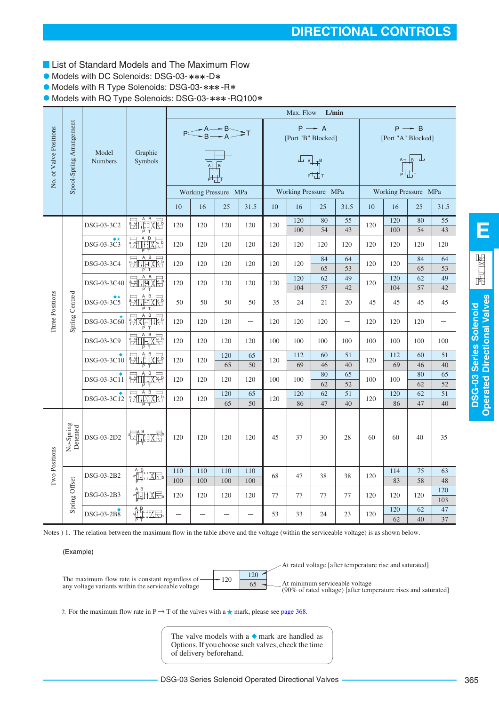- **List of Standard Models and The Maximum Flow**
- Models with DC Solenoids: DSG-03-\*\*\*-D\*
- **Models with R Type Solenoids: DSG-03-\*\*\*-R\***

 $\bullet$  Models with RQ Type Solenoids: DSG-03-\*\*\*-RQ100\*

|                        |                          |                         |                                                                                                                                                                                                                                                                                                                                                                             |                          |     |                          |                          |     | Max. Flow                                                                                                                                                                                                                                                                                                                                                                                                                                                                                                                                                                                                                                                            | L/min             |          |     |                      |                   |            |
|------------------------|--------------------------|-------------------------|-----------------------------------------------------------------------------------------------------------------------------------------------------------------------------------------------------------------------------------------------------------------------------------------------------------------------------------------------------------------------------|--------------------------|-----|--------------------------|--------------------------|-----|----------------------------------------------------------------------------------------------------------------------------------------------------------------------------------------------------------------------------------------------------------------------------------------------------------------------------------------------------------------------------------------------------------------------------------------------------------------------------------------------------------------------------------------------------------------------------------------------------------------------------------------------------------------------|-------------------|----------|-----|----------------------|-------------------|------------|
|                        |                          |                         |                                                                                                                                                                                                                                                                                                                                                                             |                          |     | $P \leq B \rightarrow A$ |                          |     | [Port "B" Blocked]                                                                                                                                                                                                                                                                                                                                                                                                                                                                                                                                                                                                                                                   | $P \rightarrow A$ |          |     | [Port "A" Blocked]   | $P \rightarrow B$ |            |
| No. of Valve Positions | Spool-Spring Arrangement | Model<br><b>Numbers</b> | Graphic<br>Symbols                                                                                                                                                                                                                                                                                                                                                          |                          |     |                          |                          |     | $\begin{array}{c}\n\begin{array}{c}\n\downarrow \\ \downarrow \\ \downarrow \\ \downarrow \\ \downarrow\n\end{array} \\ \begin{array}{c}\n\downarrow \\ \downarrow \\ \downarrow \\ \downarrow\n\end{array} \\ \begin{array}{c}\n\downarrow \\ \downarrow \\ \downarrow \\ \downarrow\n\end{array} \\ \begin{array}{c}\n\downarrow \\ \downarrow \\ \downarrow \\ \downarrow\n\end{array} \\ \begin{array}{c}\n\downarrow \\ \downarrow \\ \downarrow \\ \downarrow \\ \downarrow\n\end{array} \\ \begin{array}{c}\n\downarrow \\ \downarrow \\ \downarrow \\ \downarrow \\ \downarrow\n\end{array} \\ \begin{array}{c}\n\downarrow \\ \downarrow \\ \downarrow \\ $ |                   |          |     |                      | $\mathbb{H}$      |            |
|                        |                          |                         |                                                                                                                                                                                                                                                                                                                                                                             |                          |     | Working Pressure MPa     |                          |     | Working Pressure MPa                                                                                                                                                                                                                                                                                                                                                                                                                                                                                                                                                                                                                                                 |                   |          |     | Working Pressure MPa |                   |            |
|                        |                          |                         |                                                                                                                                                                                                                                                                                                                                                                             | 10                       | 16  | 25                       | 31.5                     | 10  | 16                                                                                                                                                                                                                                                                                                                                                                                                                                                                                                                                                                                                                                                                   | 25                | 31.5     | 10  | 16                   | 25                | 31.5       |
|                        |                          | DSG-03-3C2              | $\frac{1}{2}$                                                                                                                                                                                                                                                                                                                                                               | 120                      | 120 | 120                      | 120                      | 120 | 120<br>100                                                                                                                                                                                                                                                                                                                                                                                                                                                                                                                                                                                                                                                           | 80<br>54          | 55<br>43 | 120 | 120<br>100           | 80<br>54          | 55<br>43   |
|                        |                          | DSG-03-3C3              | P<br>國神险                                                                                                                                                                                                                                                                                                                                                                    | 120                      | 120 | 120                      | 120                      | 120 | 120                                                                                                                                                                                                                                                                                                                                                                                                                                                                                                                                                                                                                                                                  | 120               | 120      | 120 | 120                  | 120               | 120        |
|                        |                          | DSG-03-3C4              | 神运<br>祵                                                                                                                                                                                                                                                                                                                                                                     | 120                      | 120 | 120                      | 120                      | 120 | 120                                                                                                                                                                                                                                                                                                                                                                                                                                                                                                                                                                                                                                                                  | 84<br>65          | 64<br>53 | 120 | 120                  | 84<br>65          | 64<br>53   |
|                        |                          | DSG-03-3C40             | 哥倫格                                                                                                                                                                                                                                                                                                                                                                         | 120                      | 120 | 120                      | 120                      | 120 | 120<br>104                                                                                                                                                                                                                                                                                                                                                                                                                                                                                                                                                                                                                                                           | 62<br>57          | 49<br>42 | 120 | 120<br>104           | 62<br>57          | 49<br>42   |
|                        |                          | DSG-03-3C5              | F<br>$\overline{B}$<br>豜<br>THIXIS                                                                                                                                                                                                                                                                                                                                          | 50                       | 50  | 50                       | 50                       | 35  | 24                                                                                                                                                                                                                                                                                                                                                                                                                                                                                                                                                                                                                                                                   | 21                | 20       | 45  | 45                   | 45                | 45         |
| Three Positions        | Spring Centred           | DSG-03-3C60             | <b>EXAMER</b>                                                                                                                                                                                                                                                                                                                                                               | 120                      | 120 | 120                      | $\overline{\phantom{0}}$ | 120 | 120                                                                                                                                                                                                                                                                                                                                                                                                                                                                                                                                                                                                                                                                  | 120               |          | 120 | 120                  | 120               |            |
|                        |                          | DSG-03-3C9              | <b>THAR</b><br>$\frac{1}{2}$                                                                                                                                                                                                                                                                                                                                                | 120                      | 120 | 120                      | 120                      | 100 | 100                                                                                                                                                                                                                                                                                                                                                                                                                                                                                                                                                                                                                                                                  | 100               | 100      | 100 | 100                  | 100               | 100        |
|                        |                          | DSG-03-3C10             | $\frac{1}{2}$                                                                                                                                                                                                                                                                                                                                                               | 120                      | 120 | 120                      | 65                       | 120 | 112                                                                                                                                                                                                                                                                                                                                                                                                                                                                                                                                                                                                                                                                  | 60                | 51       | 120 | 112                  | 60                | 51         |
|                        |                          |                         |                                                                                                                                                                                                                                                                                                                                                                             |                          |     | 65                       | 50                       |     | 69                                                                                                                                                                                                                                                                                                                                                                                                                                                                                                                                                                                                                                                                   | 46                | 40       |     | 69                   | 46                | 40         |
|                        |                          | DSG-03-3C11             | $\frac{1}{2}$                                                                                                                                                                                                                                                                                                                                                               | 120                      | 120 | 120                      | 120                      | 100 | 100                                                                                                                                                                                                                                                                                                                                                                                                                                                                                                                                                                                                                                                                  | 80<br>62          | 65<br>52 | 100 | 100                  | 80<br>62          | 65<br>52   |
|                        |                          | DSG-03-3C12             | <b>Zurich</b>                                                                                                                                                                                                                                                                                                                                                               | 120                      | 120 | 120                      | 65                       | 120 | 120                                                                                                                                                                                                                                                                                                                                                                                                                                                                                                                                                                                                                                                                  | 62                | 51       | 120 | 120                  | 62                | 51         |
|                        |                          |                         |                                                                                                                                                                                                                                                                                                                                                                             |                          |     | 65                       | 50                       |     | 86                                                                                                                                                                                                                                                                                                                                                                                                                                                                                                                                                                                                                                                                   | 47                | 40       |     | 86                   | 47                | 40         |
|                        | No-Spring<br>Detented    | DSG-03-2D2              |                                                                                                                                                                                                                                                                                                                                                                             | 120                      | 120 | 120                      | 120                      | 45  | 37                                                                                                                                                                                                                                                                                                                                                                                                                                                                                                                                                                                                                                                                   | 30                | 28       | 60  | 60                   | 40                | 35         |
| Two Positions          |                          | DSG-03-2B2              | ▔ <sup>▔</sup>                                                                                                                                                                                                                                                                                                                                                              | 110                      | 110 | 110                      | 110                      | 68  | 47                                                                                                                                                                                                                                                                                                                                                                                                                                                                                                                                                                                                                                                                   | 38                | 38       | 120 | 114                  | 75                | 63         |
|                        |                          |                         |                                                                                                                                                                                                                                                                                                                                                                             | 100                      | 100 | 100                      | 100                      |     |                                                                                                                                                                                                                                                                                                                                                                                                                                                                                                                                                                                                                                                                      |                   |          |     | 83                   | 58                | 48         |
|                        | Spring Offset            | DSG-03-2B3              | $\begin{picture}(20,5) \put(0,0){\vector(0,1){10}} \put(15,0){\vector(0,1){10}} \put(15,0){\vector(0,1){10}} \put(15,0){\vector(0,1){10}} \put(15,0){\vector(0,1){10}} \put(15,0){\vector(0,1){10}} \put(15,0){\vector(0,1){10}} \put(15,0){\vector(0,1){10}} \put(15,0){\vector(0,1){10}} \put(15,0){\vector(0,1){10}} \put(15,0){\vector(0,1){10}} \put(15,0){\vector(0,$ | 120                      | 120 | 120                      | 120                      | 77  | 77                                                                                                                                                                                                                                                                                                                                                                                                                                                                                                                                                                                                                                                                   | 77                | 77       | 120 | 120                  | 120               | 120<br>103 |
|                        |                          | DSG-03-2B8              | $\begin{picture}(120,115) \put(0,0){\line(1,0){150}} \put(15,0){\line(1,0){150}} \put(15,0){\line(1,0){150}} \put(15,0){\line(1,0){150}} \put(15,0){\line(1,0){150}} \put(15,0){\line(1,0){150}} \put(15,0){\line(1,0){150}} \put(15,0){\line(1,0){150}} \put(15,0){\line(1,0){150}} \put(15,0){\line(1,0){150}} \put(15,0){\line(1,0){150$                                 | $\overline{\phantom{0}}$ |     |                          |                          | 53  | 33                                                                                                                                                                                                                                                                                                                                                                                                                                                                                                                                                                                                                                                                   | 24                | 23       | 120 | 120<br>62            | 62<br>40          | 47<br>37   |

Notes ) 1. The relation between the maximum flow in the table above and the voltage (within the serviceable voltage) is as shown below.

(Example)



2. For the maximum flow rate in P  $\rightarrow$  T of the valves with a  $\star$  mark, please see [page 368.](#page-7-0)

The valve models with a  $\bullet$  mark are handled as Options. If you choose such valves, check the time of delivery beforehand.

**E**

园山区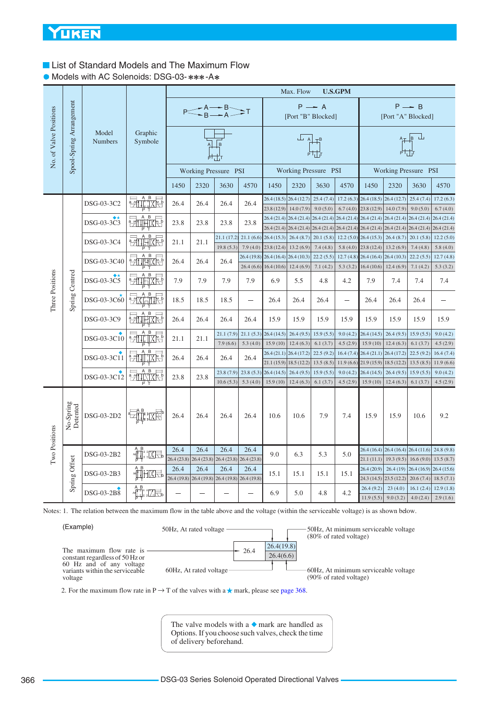# **List of Standard Models and The Maximum Flow**

• Models with AC Solenoids: DSG-03-\*\*\*-A\*

|                                   |                          |                              |                                                                                                                                                                                                                                                                                                                                              |      |      |                                                         |             |                                                        | Max. Flow                                                      |                           | <b>U.S.GPM</b>           |                                       |                                                                                                                          |                         |                         |
|-----------------------------------|--------------------------|------------------------------|----------------------------------------------------------------------------------------------------------------------------------------------------------------------------------------------------------------------------------------------------------------------------------------------------------------------------------------------|------|------|---------------------------------------------------------|-------------|--------------------------------------------------------|----------------------------------------------------------------|---------------------------|--------------------------|---------------------------------------|--------------------------------------------------------------------------------------------------------------------------|-------------------------|-------------------------|
|                                   |                          |                              |                                                                                                                                                                                                                                                                                                                                              |      |      | $P \leq B \leq A \leq T$                                |             |                                                        | [Port "B" Blocked]                                             | $P \rightarrow A$         |                          |                                       | [Port "A" Blocked]                                                                                                       | $P \rightarrow B$       |                         |
| No. of Valve Positions            | Spool-Spring Arrangement | Model<br><b>Numbers</b>      | Graphic<br>Symbole                                                                                                                                                                                                                                                                                                                           |      |      | B                                                       |             |                                                        | $\overline{\mathbb{F}}$ $\mathbb{A}$ $\mathbb{F}^{\mathsf{B}}$ |                           |                          |                                       |                                                                                                                          | ATB                     |                         |
|                                   |                          |                              |                                                                                                                                                                                                                                                                                                                                              |      |      | Working Pressure PSI                                    |             |                                                        | Working Pressure PSI                                           |                           |                          |                                       | Working Pressure PSI                                                                                                     |                         |                         |
|                                   |                          |                              |                                                                                                                                                                                                                                                                                                                                              | 1450 | 2320 | 3630                                                    | 4570        | 1450                                                   | 2320                                                           | 3630                      | 4570                     | 1450                                  | 2320                                                                                                                     | 3630                    | 4570                    |
|                                   |                          | DSG-03-3C2                   | $\begin{picture}(130,10) \put(0,0){\line(1,0){155}} \put(15,0){\line(1,0){155}} \put(15,0){\line(1,0){155}} \put(15,0){\line(1,0){155}} \put(15,0){\line(1,0){155}} \put(15,0){\line(1,0){155}} \put(15,0){\line(1,0){155}} \put(15,0){\line(1,0){155}} \put(15,0){\line(1,0){155}} \put(15,0){\line(1,0){155}} \put(15,0){\line(1,0){155}}$ | 26.4 | 26.4 | 26.4                                                    | 26.4        | 23.8(12.9)                                             | 26.4 (18.5) 26.4 (12.7)<br>14.0(7.9)                           | 25.4(7.4)<br>9.0(5.0)     | 6.7(4.0)                 | $17.2(6.3)$ 26.4 (18.5)<br>23.8(12.9) | 26.4(12.7)<br>14.0(7.9)                                                                                                  | 25.4(7.4)<br>9.0(5.0)   | 17.2(6.3)<br>6.7(4.0)   |
|                                   |                          | DSG-03-3C3                   | $\frac{1}{2}$<br>₩ė                                                                                                                                                                                                                                                                                                                          | 23.8 | 23.8 | 23.8                                                    | 23.8        |                                                        | 26.4 (21.4) 26.4 (21.4)                                        | $26.4(21.4)$ $26.4(21.4)$ |                          |                                       | $26.4(21.4)$ $26.4(21.4)$                                                                                                | 26.4(21.4)              | 26.4(21.4)              |
|                                   |                          | DSG-03-3C4                   | $\overline{B}$<br><b>THARE</b>                                                                                                                                                                                                                                                                                                               | 21.1 | 21.1 | 21.1(17.2)                                              | 21.1(6.6)   | 26.4(15.3)                                             | 26.4(8.7)                                                      | 20.1(5.8)                 | 12.2(5.0)                | 26.4(15.3)                            | 26.4 (21.4) 26.4 (21.4) 26.4 (21.4) 26.4 (21.4) 26.4 (21.4) 26.4 (21.4) 26.4 (21.4) 26.4 (21.4) 26.4 (21.4)<br>26.4(8.7) | 20.1(5.8)               | 12.2(5.0)               |
|                                   |                          |                              |                                                                                                                                                                                                                                                                                                                                              |      |      | 19.8(5.3)                                               | 7.9(4.0)    | 23.8(12.4)                                             | 13.2(6.9)                                                      | 7.4(4.8)                  | 5.8(4.0)                 | 23.8 (12.4)                           | 13.2(6.9)                                                                                                                | 7.4(4.8)                | 5.8(4.0)                |
|                                   |                          | DSG-03-3C40                  | $\begin{tabular}{ c c c c } \hline A & B & C \\ \hline \hline \hline \end{tabular}$<br>$\frac{a}{b}$                                                                                                                                                                                                                                         | 26.4 | 26.4 | 26.4                                                    | 26.4 (19.8) | $26.4(16.4)$ $26.4(10.3)$<br>$26.4(6.6)$ 16.4 $(10.6)$ | 12.4(6.9)                                                      | 22.2(5.5)<br>7.1(4.2)     | 12.7(4.8)<br>5.3(3.2)    | 26.4(16.4)<br>16.4(10.6)              | 26.4(10.3)<br>12.4(6.9)                                                                                                  | 22.2(5.5)<br>7.1(4.2)   | 12.7(4.8)<br>5.3(3.2)   |
| Three Positions<br>Spring Centred |                          | $\bullet\star$<br>DSG-03-3C5 | 謌<br><u> प्रेनरि</u> सिं                                                                                                                                                                                                                                                                                                                     | 7.9  | 7.9  | 7.9                                                     | 7.9         | 6.9                                                    | 5.5                                                            | 4.8                       | 4.2                      | 7.9                                   | 7.4                                                                                                                      | 7.4                     | 7.4                     |
|                                   |                          | DSG-03-3C60                  | <b>PAXIFILIK!</b>                                                                                                                                                                                                                                                                                                                            | 18.5 | 18.5 | 18.5                                                    | $\equiv$    | 26.4                                                   | 26.4                                                           | 26.4                      | $\overline{\phantom{m}}$ | 26.4                                  | 26.4                                                                                                                     | 26.4                    |                         |
|                                   |                          | DSG-03-3C9                   | <b>PATTLE BAR</b>                                                                                                                                                                                                                                                                                                                            | 26.4 | 26.4 | 26.4                                                    | 26.4        | 15.9                                                   | 15.9                                                           | 15.9                      | 15.9                     | 15.9                                  | 15.9                                                                                                                     | 15.9                    | 15.9                    |
|                                   |                          | DSG-03-3C10                  | <b>Entixe</b>                                                                                                                                                                                                                                                                                                                                | 21.1 | 21.1 | 21.1(7.9)                                               | 21.1(5.3)   | 26.4(14.5)                                             | 26.4(9.5)                                                      | 15.9(5.5)                 | 9.0(4.2)                 | 26.4(14.5)                            | 26.4(9.5)                                                                                                                | 15.9(5.5)               | 9.0(4.2)                |
|                                   |                          |                              | $\overline{B}$                                                                                                                                                                                                                                                                                                                               |      |      | 7.9(6.6)                                                | 5.3(4.0)    | 15.9(10)                                               | 12.4(6.3)                                                      | 6.1(3.7)                  | 4.5(2.9)                 | 15.9(10)                              | 12.4(6.3)                                                                                                                | 6.1(3.7)                | 4.5(2.9)                |
|                                   |                          | DSG-03-3C11                  | e州<br>मा प्राप्त                                                                                                                                                                                                                                                                                                                             | 26.4 | 26.4 | 26.4                                                    | 26.4        |                                                        | 26.4 (21.1) 26.4 (17.2)<br>$21.1(15.9)$ 18.5 (12.2)            | 22.5(9.2)<br>13.5(8.5)    | 16.4(7.4)                | 26.4(21.1)<br>$11.9(6.6)$ 21.9 (15.9) | 26.4(17.2)<br>18.5(12.2)                                                                                                 | 22.5(9.2)<br>13.5(8.5)  | 16.4(7.4)<br>11.9(6.6)  |
|                                   |                          | DSG-03-3C12                  | <b>PILITE</b>                                                                                                                                                                                                                                                                                                                                | 23.8 | 23.8 | 23.8(7.9)                                               | 23.8(5.3)   | 26.4(14.5)                                             | 26.4(9.5)                                                      | 15.9(5.5)                 | 9.0(4.2)                 | 26.4(14.5)                            | 26.4(9.5)                                                                                                                | 15.9(5.5)               | 9.0(4.2)                |
|                                   |                          |                              |                                                                                                                                                                                                                                                                                                                                              |      |      | 10.6(5.3)                                               | 5.3(4.0)    | 15.9(10)                                               | 12.4(6.3)                                                      | 6.1(3.7)                  | 4.5(2.9)                 | 15.9(10)                              | 12.4(6.3)                                                                                                                | 6.1(3.7)                | 4.5(2.9)                |
|                                   | No-Spring<br>Detented    | DSG-03-2D2                   | - 그대 18년                                                                                                                                                                                                                                                                                                                                     | 26.4 | 26.4 | 26.4                                                    | 26.4        | 10.6                                                   | 10.6                                                           | 7.9                       | 7.4                      | 15.9                                  | 15.9                                                                                                                     | 10.6                    | 9.2                     |
| Two Positions                     |                          | DSG-03-2B2                   | ⊣∰.ïXQ                                                                                                                                                                                                                                                                                                                                       | 26.4 | 26.4 | 26.4                                                    | 26.4        | 9.0                                                    | 6.3                                                            | 5.3                       | 5.0                      |                                       | 26.4 (16.4) 26.4 (16.4) 26.4 (11.6)                                                                                      |                         | 24.8(9.8)               |
|                                   |                          |                              |                                                                                                                                                                                                                                                                                                                                              |      |      | 26.4 (23.8) 26.4 (23.8) 26.4 (23.8) 26.4 (23.8)         |             |                                                        |                                                                |                           |                          | 21.1(11.1)                            | 19.3(9.5)                                                                                                                | 16.6(9.0)               | 13.5(8.7)               |
|                                   | Spring Offset            | DSG-03-2B3                   |                                                                                                                                                                                                                                                                                                                                              | 26.4 | 26.4 | 26.4<br>26.4 (19.8) 26.4 (19.8) 26.4 (19.8) 26.4 (19.8) | 26.4        | 15.1                                                   | 15.1                                                           | 15.1                      | 15.1                     | 26.4 (20.9)                           | 26.4(19)<br>24.3 (14.5) 23.5 (12.2)                                                                                      | 26.4(16.9)<br>20.6(7.4) | 26.4(15.6)<br>18.5(7.1) |
|                                   |                          | DSG-03-2B8                   | ृीः ः⊠त                                                                                                                                                                                                                                                                                                                                      |      |      |                                                         |             | 6.9                                                    | 5.0                                                            | 4.8                       | 4.2                      | 26.4(9.2)<br>11.9(5.5)                | 23(4.0)<br>9.0(3.2)                                                                                                      | 16.1(2.4)<br>4.0(2.4)   | 12.9(1.8)<br>2.9(1.6)   |

Notes: 1. The relation between the maximum flow in the table above and the voltage (within the serviceable voltage) is as shown below.

| (Example)                                                                                                                                 | 50Hz, At rated voltage          |                         | 50Hz, At minimum serviceable voltage<br>$(80\% \text{ of rated voltage})$ |
|-------------------------------------------------------------------------------------------------------------------------------------------|---------------------------------|-------------------------|---------------------------------------------------------------------------|
| The maximum flow rate is $-$<br>constant regardless of 50 Hz or<br>60 Hz and of any voltage<br>variants within the serviceable<br>voltage | 26.4<br>60Hz, At rated voltage- | 26.4(19.8)<br>26.4(6.6) | 60Hz, At minimum serviceable voltage<br>$(90\% \text{ of rated voltage})$ |

2. For the maximum flow rate in P  $\rightarrow$  T of the valves with a  $\star$  mark, please see [page 368.](#page-7-0)

The valve models with a  $\bullet$  mark are handled as Options. If you choose such valves, check the time of delivery beforehand.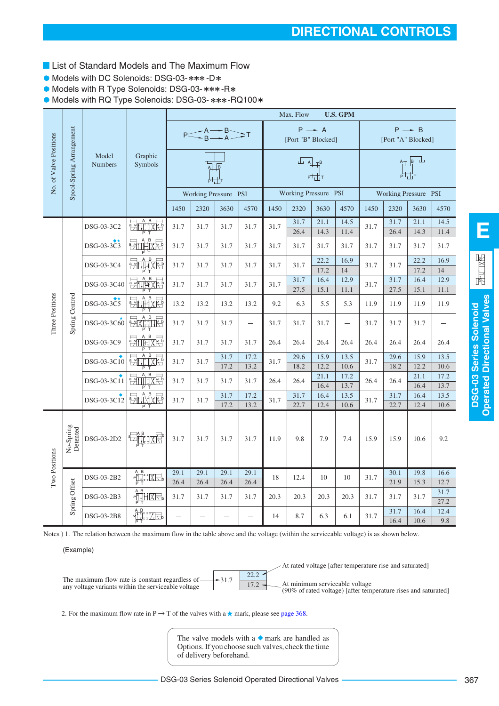- **List of Standard Models and The Maximum Flow**
- Models with DC Solenoids: DSG-03-\*\*\*-D\*
- Models with R Type Solenoids: DSG-03- \*\*\*-R\*

 $\bullet$  Models with RQ Type Solenoids: DSG-03- \*\*\*-RQ100\*

| Spool-Spring Arrangement<br>$P \rightarrow A$<br>$P \rightarrow B$<br>$P \leq A \rightarrow B$ $T$<br>No. of Valve Positions<br>[Port "B" Blocked]<br>[Port "A" Blocked]<br>Model<br>Graphic<br>件書山<br>ᅟᆠ<br><b>Numbers</b><br>Symbols<br>Working Pressure PSI<br>Working Pressure PSI<br>Working Pressure PSI<br>4570<br>2320<br>3630<br>1450<br>2320<br>3630<br>4570<br>1450<br>2320<br>3630<br>1450<br>4570<br>$\frac{1}{2}$<br>31.7<br>31.7<br>21.1<br>14.5<br>21.1<br>14.5<br>DSG-03-3C2<br>31.7<br>31.7<br>31.7<br>31.7<br>31.7<br>31.7<br>26.4<br>26.4<br>14.3<br>11.4<br>14.3<br>11.4<br>$A$ $B$<br><b>PATIHIXE</b><br>DSG-03-3C3<br>31.7<br>31.7<br>31.7<br>31.7<br>31.7<br>31.7<br>31.7<br>31.7<br>31.7<br>31.7<br>31.7<br>31.7<br>神区<br>22.2<br>22.2<br>16.9<br>16.9<br>$\frac{1}{2}$<br>DSG-03-3C4<br>31.7<br>31.7<br>31.7<br>31.7<br>31.7<br>31.7<br>31.7<br>31.7<br>17.2<br>14<br>17.2<br>14<br>动响波<br>16.4<br>16.4<br>31.7<br>12.9<br>31.7<br>12.9<br>DSG-03-3C40<br>31.7<br>31.7<br>31.7<br>31.7<br>31.7<br>31.7<br>27.5<br>27.5<br>15.1<br>11.1<br>15.1<br>11.1<br>Three Positions<br>Spring Centred<br><b>PITTHIXES</b><br>DSG-03-3C5<br>13.2<br>13.2<br>13.2<br>11.9<br>13.2<br>9.2<br>6.3<br>5.5<br>5.3<br>11.9<br>11.9<br>11.9<br><b>DATE</b><br>DSG-03-3C60<br>31.7<br>31.7<br>31.7<br>31.7<br>31.7<br>31.7<br>31.7<br>31.7<br>31.7<br>$\overline{\phantom{m}}$ |               |  |  |  |  | Max. Flow | <b>U.S. GPM</b> |  |  |
|---------------------------------------------------------------------------------------------------------------------------------------------------------------------------------------------------------------------------------------------------------------------------------------------------------------------------------------------------------------------------------------------------------------------------------------------------------------------------------------------------------------------------------------------------------------------------------------------------------------------------------------------------------------------------------------------------------------------------------------------------------------------------------------------------------------------------------------------------------------------------------------------------------------------------------------------------------------------------------------------------------------------------------------------------------------------------------------------------------------------------------------------------------------------------------------------------------------------------------------------------------------------------------------------------------------------------------------------------------------------------------------|---------------|--|--|--|--|-----------|-----------------|--|--|
|                                                                                                                                                                                                                                                                                                                                                                                                                                                                                                                                                                                                                                                                                                                                                                                                                                                                                                                                                                                                                                                                                                                                                                                                                                                                                                                                                                                       |               |  |  |  |  |           |                 |  |  |
|                                                                                                                                                                                                                                                                                                                                                                                                                                                                                                                                                                                                                                                                                                                                                                                                                                                                                                                                                                                                                                                                                                                                                                                                                                                                                                                                                                                       |               |  |  |  |  |           |                 |  |  |
|                                                                                                                                                                                                                                                                                                                                                                                                                                                                                                                                                                                                                                                                                                                                                                                                                                                                                                                                                                                                                                                                                                                                                                                                                                                                                                                                                                                       |               |  |  |  |  |           |                 |  |  |
|                                                                                                                                                                                                                                                                                                                                                                                                                                                                                                                                                                                                                                                                                                                                                                                                                                                                                                                                                                                                                                                                                                                                                                                                                                                                                                                                                                                       |               |  |  |  |  |           |                 |  |  |
|                                                                                                                                                                                                                                                                                                                                                                                                                                                                                                                                                                                                                                                                                                                                                                                                                                                                                                                                                                                                                                                                                                                                                                                                                                                                                                                                                                                       |               |  |  |  |  |           |                 |  |  |
|                                                                                                                                                                                                                                                                                                                                                                                                                                                                                                                                                                                                                                                                                                                                                                                                                                                                                                                                                                                                                                                                                                                                                                                                                                                                                                                                                                                       |               |  |  |  |  |           |                 |  |  |
|                                                                                                                                                                                                                                                                                                                                                                                                                                                                                                                                                                                                                                                                                                                                                                                                                                                                                                                                                                                                                                                                                                                                                                                                                                                                                                                                                                                       |               |  |  |  |  |           |                 |  |  |
|                                                                                                                                                                                                                                                                                                                                                                                                                                                                                                                                                                                                                                                                                                                                                                                                                                                                                                                                                                                                                                                                                                                                                                                                                                                                                                                                                                                       |               |  |  |  |  |           |                 |  |  |
|                                                                                                                                                                                                                                                                                                                                                                                                                                                                                                                                                                                                                                                                                                                                                                                                                                                                                                                                                                                                                                                                                                                                                                                                                                                                                                                                                                                       |               |  |  |  |  |           |                 |  |  |
|                                                                                                                                                                                                                                                                                                                                                                                                                                                                                                                                                                                                                                                                                                                                                                                                                                                                                                                                                                                                                                                                                                                                                                                                                                                                                                                                                                                       |               |  |  |  |  |           |                 |  |  |
| $\frac{1}{2}$<br>DSG-03-3C9<br>26.4<br>26.4<br>26.4<br>31.7<br>31.7<br>31.7<br>31.7<br>26.4<br>26.4<br>26.4<br>26.4<br>26.4                                                                                                                                                                                                                                                                                                                                                                                                                                                                                                                                                                                                                                                                                                                                                                                                                                                                                                                                                                                                                                                                                                                                                                                                                                                           |               |  |  |  |  |           |                 |  |  |
| <b>MILIXE</b><br>31.7<br>17.2<br>29.6<br>15.9<br>29.6<br>15.9<br>13.5<br>13.5<br>DSG-03-3C10<br>31.7<br>31.7<br>31.7<br>31.7                                                                                                                                                                                                                                                                                                                                                                                                                                                                                                                                                                                                                                                                                                                                                                                                                                                                                                                                                                                                                                                                                                                                                                                                                                                          |               |  |  |  |  |           |                 |  |  |
| 13.2<br>17.2<br>18.2<br>12.2<br>18.2<br>12.2<br>10.6<br>10.6                                                                                                                                                                                                                                                                                                                                                                                                                                                                                                                                                                                                                                                                                                                                                                                                                                                                                                                                                                                                                                                                                                                                                                                                                                                                                                                          |               |  |  |  |  |           |                 |  |  |
| <b>Except Section</b><br>21.1<br>17.2<br>21.1<br>17.2<br>DSG-03-3C11<br>31.7<br>31.7<br>31.7<br>31.7<br>26.4<br>26.4<br>26.4<br>26.4<br>13.7<br>16.4<br>16.4<br>13.7                                                                                                                                                                                                                                                                                                                                                                                                                                                                                                                                                                                                                                                                                                                                                                                                                                                                                                                                                                                                                                                                                                                                                                                                                  |               |  |  |  |  |           |                 |  |  |
| B,<br>31.7<br>17.2<br>31.7<br>31.7<br>16.4<br>16.4<br>13.5<br>13.5<br><b>Zurich School</b>                                                                                                                                                                                                                                                                                                                                                                                                                                                                                                                                                                                                                                                                                                                                                                                                                                                                                                                                                                                                                                                                                                                                                                                                                                                                                            |               |  |  |  |  |           |                 |  |  |
| DSG-03-3C12<br>31.7<br>31.7<br>31.7<br>31.7<br>13.2<br>17.2<br>22.7<br>12.4<br>10.6<br>22.7<br>12.4<br>10.6                                                                                                                                                                                                                                                                                                                                                                                                                                                                                                                                                                                                                                                                                                                                                                                                                                                                                                                                                                                                                                                                                                                                                                                                                                                                           |               |  |  |  |  |           |                 |  |  |
| No-Spring<br>Detented<br><del>일때 1</del> 7년<br>DSG-03-2D2<br>31.7<br>31.7<br>31.7<br>11.9<br>9.8<br>7.4<br>15.9<br>15.9<br>10.6<br>9.2<br>31.7<br>7.9                                                                                                                                                                                                                                                                                                                                                                                                                                                                                                                                                                                                                                                                                                                                                                                                                                                                                                                                                                                                                                                                                                                                                                                                                                 |               |  |  |  |  |           |                 |  |  |
| 29.1<br>29.1<br>29.1<br>29.1<br>30.1<br>19.8<br>16.6<br>$\begin{picture}(120,10) \put(0,0){\line(1,0){15}} \put(15,0){\line(1,0){15}} \put(15,0){\line(1,0){15}} \put(15,0){\line(1,0){15}} \put(15,0){\line(1,0){15}} \put(15,0){\line(1,0){15}} \put(15,0){\line(1,0){15}} \put(15,0){\line(1,0){15}} \put(15,0){\line(1,0){15}} \put(15,0){\line(1,0){15}} \put(15,0){\line(1,0){15}} \put(15,0){\line($<br>DSG-03-2B2<br>18<br>10<br>31.7<br>12.4<br>10                                                                                                                                                                                                                                                                                                                                                                                                                                                                                                                                                                                                                                                                                                                                                                                                                                                                                                                           | Two Positions |  |  |  |  |           |                 |  |  |
| 26.4<br>26.4<br>26.4<br>26.4<br>21.9<br>15.3<br>12.7                                                                                                                                                                                                                                                                                                                                                                                                                                                                                                                                                                                                                                                                                                                                                                                                                                                                                                                                                                                                                                                                                                                                                                                                                                                                                                                                  |               |  |  |  |  |           |                 |  |  |
| Spring Offset<br>$\begin{picture}(20,5) \put(0,0) {\put(0,0){\line(1,0){15}} \put(1,0){\line(1,0){15}} \put(1,0){\line(1,0){15}} \put(1,0){\line(1,0){15}} \put(1,0){\line(1,0){15}} \put(1,0){\line(1,0){15}} \put(1,0){\line(1,0){15}} \put(1,0){\line(1,0){15}} \put(1,0){\line(1,0){15}} \put(1,0){\line(1,0){15}} \put(1,0){\line(1,0){15}} \put(1,0){\line(1,0){15$<br>31.7<br>DSG-03-2B3<br>31.7<br>31.7<br>31.7<br>31.7<br>20.3<br>20.3<br>20.3<br>20.3<br>31.7<br>31.7<br>31.7<br>27.2                                                                                                                                                                                                                                                                                                                                                                                                                                                                                                                                                                                                                                                                                                                                                                                                                                                                                       |               |  |  |  |  |           |                 |  |  |
| 31.7<br>16.4<br>12.4<br>:LH<br>31.7<br>DSG-03-2B8<br>14<br>8.7<br>6.3<br>6.1<br>16.4<br>10.6<br>9.8                                                                                                                                                                                                                                                                                                                                                                                                                                                                                                                                                                                                                                                                                                                                                                                                                                                                                                                                                                                                                                                                                                                                                                                                                                                                                   |               |  |  |  |  |           |                 |  |  |

Notes ) 1. The relation between the maximum flow in the table above and the voltage (within the serviceable voltage) is as shown below.

(Example)



2. For the maximum flow rate in P  $\rightarrow$  T of the valves with a  $\star$  mark, please see [page 368.](#page-7-0)

The valve models with a  $\bullet$  mark are handled as Options. If you choose such valves, check the time of delivery beforehand.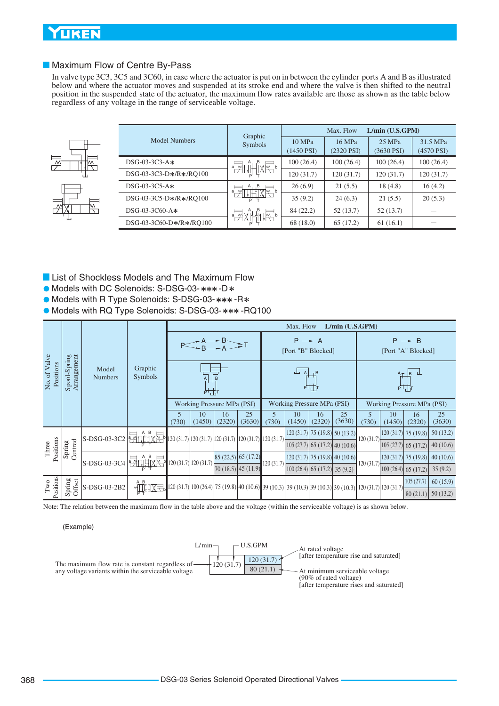### <span id="page-7-0"></span>Maximum Flow of Centre By-Pass

In valve type 3C3, 3C5 and 3C60, in case where the actuator is put on in between the cylinder ports A and B as illustrated below and where the actuator moves and suspended at its stroke end and where the valve is then shifted to the neutral position in the suspended state of the actuator, the maximum flow rates available are those as shown as the table below regardless of any voltage in the range of serviceable voltage.



|                         | Graphic                         |                        | Max. Flow                 | L/min (U.S.GPM)           |                          |
|-------------------------|---------------------------------|------------------------|---------------------------|---------------------------|--------------------------|
| Model Numbers           | Symbols                         | 10 MPa<br>$(1450$ PSI) | 16 MPa<br>$(2320$ PSI $)$ | 25 MPa<br>$(3630$ PSI $)$ | 31.5 MPa<br>$(4570$ PSI) |
| $DSG-03-3C3-A*$         | A.B<br>TM b<br>a M              | 100(26.4)              | 100(26.4)                 | 100(26.4)                 | 100(26.4)                |
| DSG-03-3C3-D*/R*/RO100  |                                 | 120(31.7)              | 120(31.7)                 | 120(31.7)                 | 120(31.7)                |
| $DSG-03-3C5-A*$         | A, B<br>7m b                    | 26(6.9)                | 21(5.5)                   | 18(4.8)                   | 16(4.2)                  |
| DSG-03-3C5-D*/R*/RO100  | $\alpha$ $\rightarrow$ $\gamma$ | 35(9.2)                | 24(6.3)                   | 21(5.5)                   | 20(5.3)                  |
| DSG-03-3C60-A*          | A, B<br>TW b<br>a<br>₩          | 84 (22.2)              | 52(13.7)                  | 52(13.7)                  |                          |
| DSG-03-3C60-D*/R*/RO100 | Þ.                              | 68 (18.0)              | 65(17.2)                  | 61(16.1)                  |                          |

- **List of Shockless Models and The Maximum Flow**
- $\bullet$  Models with DC Solenoids: S-DSG-03-\*\*\*-D\*
- Models with R Type Solenoids: S-DSG-03-\*\*\*-R\*
- $\bullet$  Models with RQ Type Solenoids: S-DSG-03-\*\*\* -RQ100

|                                   |                             |                         |                                                                                                                                                                                                                                                                                                                                                     |                                                                                                         |              |                                                     |              |            | Max. Flow                                                                   |                                | L/min (U.S.GPM)                 |           |              |                                                                         |              |
|-----------------------------------|-----------------------------|-------------------------|-----------------------------------------------------------------------------------------------------------------------------------------------------------------------------------------------------------------------------------------------------------------------------------------------------------------------------------------------------|---------------------------------------------------------------------------------------------------------|--------------|-----------------------------------------------------|--------------|------------|-----------------------------------------------------------------------------|--------------------------------|---------------------------------|-----------|--------------|-------------------------------------------------------------------------|--------------|
|                                   |                             |                         |                                                                                                                                                                                                                                                                                                                                                     |                                                                                                         |              |                                                     |              |            | $P \rightarrow A$<br>[Port "B" Blocked]                                     |                                |                                 |           |              | $P \rightarrow B$<br>[Port "A" Blocked]                                 |              |
| No. of Valve<br>Positions         | Arrangement<br>Spool-Spring | Model<br><b>Numbers</b> | Graphic<br>Symbols                                                                                                                                                                                                                                                                                                                                  |                                                                                                         | ᆎᅶ           |                                                     |              |            | $\begin{array}{c} \bot \end{array}$ A $\begin{array}{c} \top B \end{array}$ | <b>PULL</b>                    |                                 |           |              | $A_T$ $B \perp$<br>$P\overline{\prod}T$                                 |              |
|                                   |                             |                         |                                                                                                                                                                                                                                                                                                                                                     |                                                                                                         |              | <b>Working Pressure MPa (PSI)</b>                   |              |            | Working Pressure MPa (PSI)                                                  |                                |                                 |           |              | Working Pressure MPa (PSI)                                              |              |
|                                   |                             |                         |                                                                                                                                                                                                                                                                                                                                                     | 5<br>(730)                                                                                              | 10<br>(1450) | 16<br>(2320)                                        | 25<br>(3630) | 5<br>(730) | 10<br>(1450)                                                                | 16<br>(2320)                   | 25<br>(3630)                    | (730)     | 10<br>(1450) | 16<br>(2320)                                                            | 25<br>(3630) |
|                                   |                             | S-DSG-03-3C2            | $\frac{1}{2}$ $\frac{1}{2}$ $\frac{1}{11}$ $\frac{1}{11}$ $\frac{1}{11}$ $\frac{1}{11}$ $\frac{1}{11}$ $\frac{1}{11}$ $\frac{1}{11}$ $\frac{1}{11}$ $\frac{1}{11}$ $\frac{1}{11}$ $\frac{1}{11}$ $\frac{1}{11}$ $\frac{1}{11}$ $\frac{1}{11}$ $\frac{1}{11}$ $\frac{1}{11}$ $\frac{1}{11}$ $\frac{1}{11}$ $\frac$                                   |                                                                                                         |              |                                                     |              |            |                                                                             |                                | $120(31.7)$ 75 (19.8) 50 (13.2) | 120(31.7) |              | $\left[ 120(31.7) \right]$ 75 (19.8)                                    | 50(13.2)     |
| Positions<br>Three                | entred<br>Spring            |                         |                                                                                                                                                                                                                                                                                                                                                     |                                                                                                         |              |                                                     |              |            |                                                                             |                                | $105(27.7)$ 65 (17.2) 40 (10.6) |           |              | $\left  105 \left( 27.7 \right) \right  65 \left( 17.2 \right)$         | 40(10.6)     |
|                                   |                             | S-DSG-03-3C4            | $\frac{1}{2}$ $\frac{1}{2}$ $\frac{1}{2}$ $\frac{1}{2}$ $\frac{1}{2}$ $\frac{1}{2}$ $\frac{1}{2}$ $\frac{1}{2}$ $\frac{1}{2}$ $\frac{1}{2}$ $\frac{1}{2}$ $\frac{1}{2}$ $\frac{1}{2}$ $\frac{1}{2}$ $\frac{1}{2}$ $\frac{1}{2}$ $\frac{1}{2}$ $\frac{1}{2}$ $\frac{1}{2}$ $\frac{1}{2}$ $\frac{1}{2}$ $\frac{1}{2}$                                 |                                                                                                         |              | $\left  85 \right  (22.5) \left  65 \right  (17.2)$ |              | 120(31.7)  |                                                                             |                                | $120(31.7)$ 75 (19.8) 40 (10.6) | 120(31.7) |              | $\left  120 \left( 31.7 \right) \right  75 \left( 19.8 \right) \right $ | 40(10.6)     |
|                                   |                             |                         |                                                                                                                                                                                                                                                                                                                                                     |                                                                                                         |              | [70 (18.5) 45 (11.9)]                               |              |            |                                                                             | $100(26.4)$ 65 (17.2) 35 (9.2) |                                 |           |              | $\left  100 \left( 26.4 \right) \right  65 \left( 17.2 \right)$         | 35(9.2)      |
|                                   | Spring<br>Offset            |                         |                                                                                                                                                                                                                                                                                                                                                     |                                                                                                         |              |                                                     |              |            |                                                                             |                                |                                 |           |              | 105(27.7)                                                               | 60(15.9)     |
| Positions<br>$\operatorname{Two}$ |                             | S-DSG-03-2B2            | $\begin{picture}(20,10) \put(0,0){\line(1,0){15}} \put(15,0){\line(1,0){15}} \put(15,0){\line(1,0){15}} \put(15,0){\line(1,0){15}} \put(15,0){\line(1,0){15}} \put(15,0){\line(1,0){15}} \put(15,0){\line(1,0){15}} \put(15,0){\line(1,0){15}} \put(15,0){\line(1,0){15}} \put(15,0){\line(1,0){15}} \put(15,0){\line(1,0){15}} \put(15,0){\line(1$ | 120 (31.7) 100 (26.4) 75 (19.8) 40 (10.6) 39 (10.3) 39 (10.3) 39 (10.3) 39 (10.3) 120 (31.7) 120 (31.7) |              |                                                     |              |            |                                                                             |                                |                                 |           |              | 80(21.1)                                                                | 50(13.2)     |

Note: The relation between the maximum flow in the table above and the voltage (within the serviceable voltage) is as shown below.

(Example)

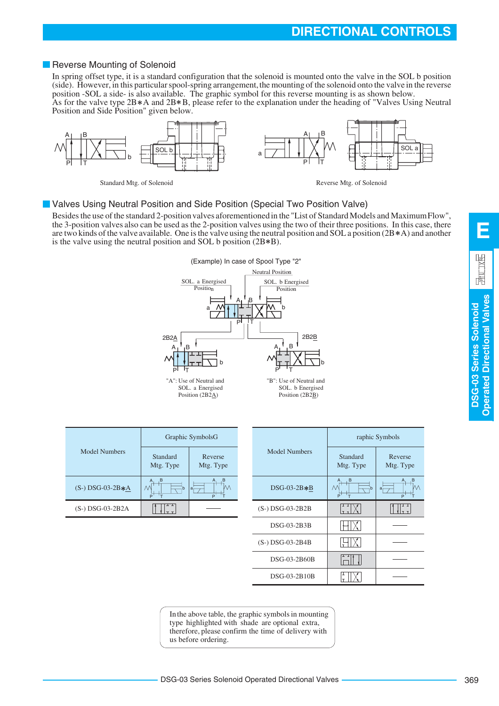### <span id="page-8-0"></span>Reverse Mounting of Solenoid

In spring offset type, it is a standard configuration that the solenoid is mounted onto the valve in the SOL b position (side). However, in this particular spool-spring arrangement, the mounting of the solenoid onto the valve in the reverse position -SOL a side- is also available. The graphic symbol for this reverse mounting is as shown below. As for the valve type  $2B*A$  and  $2B*B$ , please refer to the explanation under the heading of "Valves Using Neutral



Standard Mtg. of Solenoid Reverse Mtg. of Solenoid

### **U** Valves Using Neutral Position and Side Position (Special Two Position Valve)

Besides the use of the standard 2-position valves aforementioned in the "List of Standard Models and Maximum Flow", the 3-position valves also can be used as the 2-position valves using the two of their three positions. In this case, there are two kinds of the valve available. One is the valve using the neutral position and SOL a position (2B  $*$ A) and another is the valve using the neutral position and SOL b position  $(2B*B)$ .



|                      |                               | Graphic SymbolsG     |  | <b>Model Numbers</b> |  |
|----------------------|-------------------------------|----------------------|--|----------------------|--|
| <b>Model Numbers</b> | Standard<br>Mtg. Type         | Reverse<br>Mtg. Type |  |                      |  |
| $(S-) DSG-03-2B*A$   | ,B<br>A<br>$\mathcal{N}$<br>p | .B<br>۱a<br>P        |  | $DSG-03-2B*B$        |  |
| $(S-)$ DSG-03-2B2A   |                               |                      |  | (S-) DSG-03-2B2B     |  |

|              | Graphic SymbolsG     |                      | raphic Symbols        |                      |  |  |
|--------------|----------------------|----------------------|-----------------------|----------------------|--|--|
| dard<br>Type | Reverse<br>Mtg. Type | <b>Model Numbers</b> | Standard<br>Mtg. Type | Reverse<br>Mtg. Type |  |  |
| h            | в<br> a <br>P        | $DSG-03-2B*B$        | в<br>₩<br>P           | Μ<br>a<br>P          |  |  |
| ᅭ<br>ᆍ       |                      | (S-) DSG-03-2B2B     |                       | 1т. т.               |  |  |
|              |                      | DSG-03-2B3B          |                       |                      |  |  |
|              |                      | (S-) DSG-03-2B4B     |                       |                      |  |  |
|              |                      | DSG-03-2B60B         |                       |                      |  |  |
|              |                      | DSG-03-2B10B         |                       |                      |  |  |

In the above table, the graphic symbols in mounting type highlighted with shade are optional extra, therefore, please confirm the time of delivery with us before ordering.

DSG-03 Series Solenoid Operated Directional Valves

**DSG-03 Series Solenoid Operated Directional Valves**

perated Directional Valves DSG-03 Series Solenoid

**E**

园 11.1X图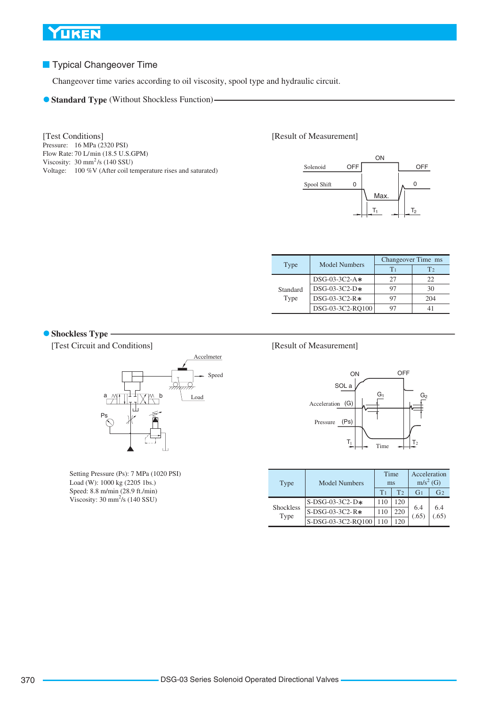### **Typical Changeover Time**

Changeover time varies according to oil viscosity, spool type and hydraulic circuit.

**Standard Type** (Without Shockless Function)-

Pressure: 16 MPa (2320 PSI) Flow Rate: 70 L/min (18.5 U.S.GPM) Viscosity:  $30 \text{ mm}^2/\text{s}$  (140 SSU) Voltage: 100 %V (After coil temperature rises and saturated) [Test Conditions]

#### [Result of Measurement]



|          | <b>Model Numbers</b> | Changeover Time ms |                |  |  |
|----------|----------------------|--------------------|----------------|--|--|
| Type     |                      | $T_1$              | T <sub>2</sub> |  |  |
|          | $DSG-03-3C2-A*$      | 27                 | 22             |  |  |
| Standard | $DSG-03-3C2-D*$      | 97                 | 30             |  |  |
| Type     | DSG-03-3C2-R*        | 97                 | 204            |  |  |
|          | DSG-03-3C2-RO100     |                    |                |  |  |

#### **Shockless Type -**

[Test Circuit and Conditions]



Setting Pressure (Ps): 7 MPa (1020 PSI) Load (W): 1000 kg (2205 1bs.) Speed: 8.8 m/min (28.9 ft./min) Viscosity:  $30 \text{ mm}^2\text{/s}$  (140 SSU)

#### [Result of Measurement]



| Type                     | <b>Model Numbers</b> | Time<br>ms     |                | Acceleration<br>m/s <sup>2</sup> (G) |                |  |
|--------------------------|----------------------|----------------|----------------|--------------------------------------|----------------|--|
|                          |                      | T <sub>1</sub> | T <sub>2</sub> | G <sub>1</sub>                       | G <sub>2</sub> |  |
|                          | $S-DSG-03-3C2-D*$    | 110            | 120            |                                      |                |  |
| <b>Shockless</b><br>Type | S-DSG-03-3C2-R*      | 110            | 220            | 6.4<br>(.65)                         | 6.4<br>(65)    |  |
|                          | S-DSG-03-3C2-RO100   | 110            | 120            |                                      |                |  |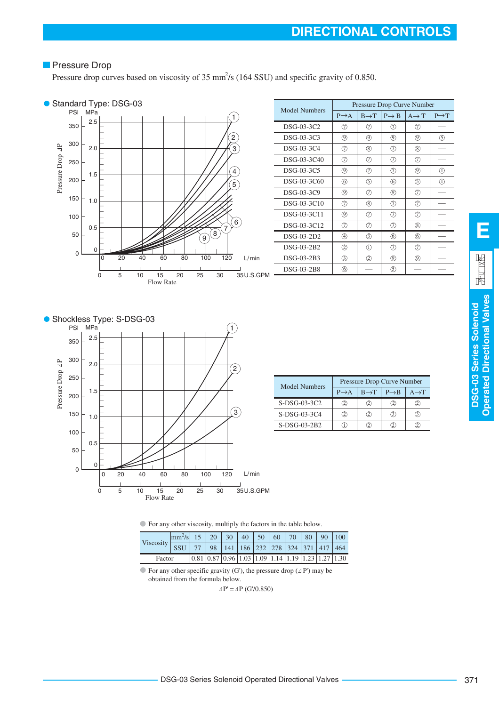# **Pressure Drop**

Pressure drop curves based on viscosity of 35  $\text{mm}^2$ /s (164 SSU) and specific gravity of 0.850.



| Model Numbers | Pressure Drop Curve Number |                   |                   |                   |                   |  |  |  |  |
|---------------|----------------------------|-------------------|-------------------|-------------------|-------------------|--|--|--|--|
|               | $P \rightarrow A$          | $B \rightarrow T$ | $P \rightarrow B$ | $A \rightarrow T$ | $P \rightarrow T$ |  |  |  |  |
| DSG-03-3C2    | の                          | の                 | の                 | の                 |                   |  |  |  |  |
| DSG-03-3C3    | ⊚                          | ⊚                 | ⊚                 | ⊚)                | (5)               |  |  |  |  |
| DSG-03-3C4    | の                          | (8)               | (7)               | (8)               |                   |  |  |  |  |
| DSG-03-3C40   | の                          | の                 | (7)               | の                 |                   |  |  |  |  |
| DSG-03-3C5    | ⊚                          | の                 | (7)               | ◎                 | ①                 |  |  |  |  |
| DSG-03-3C60   | 6                          | ⑤                 | 6                 | (5)               | ①                 |  |  |  |  |
| DSG-03-3C9    | ⊚                          | の                 | $\circledcirc$    | の                 |                   |  |  |  |  |
| DSG-03-3C10   | の                          | (8)               | の                 | Ω                 |                   |  |  |  |  |
| DSG-03-3C11   | ⊙                          | の                 | の                 | の                 |                   |  |  |  |  |
| DSG-03-3C12   | の                          | ⑦                 | の                 | (8)               |                   |  |  |  |  |
| DSG-03-2D2    | ④                          | ③                 | 6                 | 6                 |                   |  |  |  |  |
| DSG-03-2B2    | 2                          | ①                 | (7)               | (7)               |                   |  |  |  |  |
| $DSG-03-2B3$  | ③                          | $\circled{2}$     | ◎                 | (9)               |                   |  |  |  |  |
| DSG-03-2B8    | 6                          |                   | (5)               |                   |                   |  |  |  |  |



|  | Model Numbers  | Pressure Drop Curve Number |                   |                   |                   |  |  |  |  |
|--|----------------|----------------------------|-------------------|-------------------|-------------------|--|--|--|--|
|  |                | $P \rightarrow A$          | $B \rightarrow T$ | $P \rightarrow B$ | $A \rightarrow T$ |  |  |  |  |
|  | $S-DSG-03-3C2$ |                            | (2                | 21                |                   |  |  |  |  |
|  | $S-DSG-03-3C4$ | (2)                        | (2)               | (3)               |                   |  |  |  |  |
|  | $S-DSG-03-2B2$ |                            |                   |                   |                   |  |  |  |  |

For any other viscosity, multiply the factors in the table below.

| Viscosity | $\left \frac{mm^2}{s}\right $ 15   20   30   40   50   60   70   80   90   100 |  |                                                                                                                                |  |  |  |  |
|-----------|--------------------------------------------------------------------------------|--|--------------------------------------------------------------------------------------------------------------------------------|--|--|--|--|
|           | <b>SSU</b>                                                                     |  |                                                                                                                                |  |  |  |  |
| Factor    |                                                                                |  | $\left  0.81 \right  0.87 \left  0.96 \right  1.03 \left  1.09 \right  1.14 \left  1.19 \right  1.23 \left  1.27 \right  1.30$ |  |  |  |  |

 $\bullet$  For any other specific gravity (G'), the pressure drop ( $\Delta P'$ ) may be obtained from the formula below.

 $\Delta P' = \Delta P$  (G'/0.850)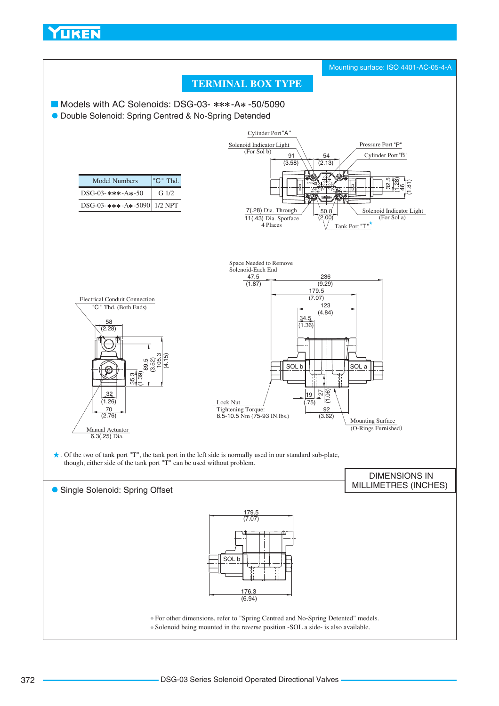<span id="page-11-0"></span>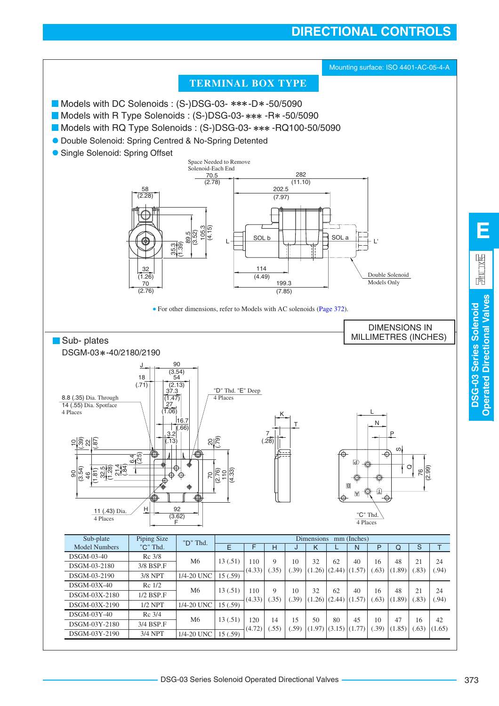# **DIRECTIONAL CONTROLS**



**Operated Directional Valves**

**Operated Directional Valves**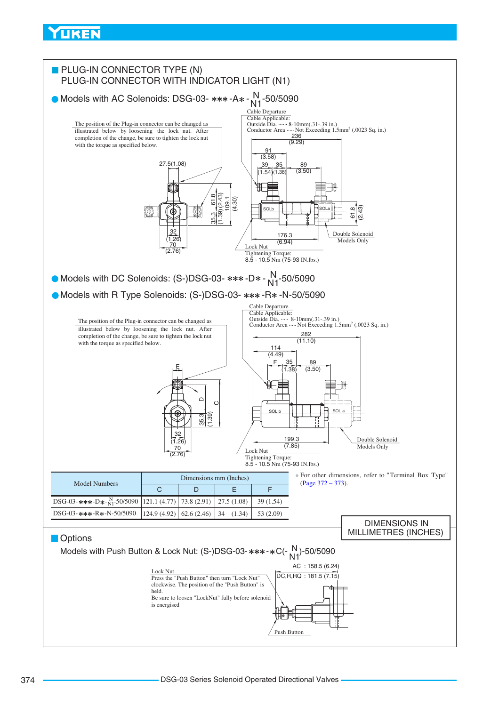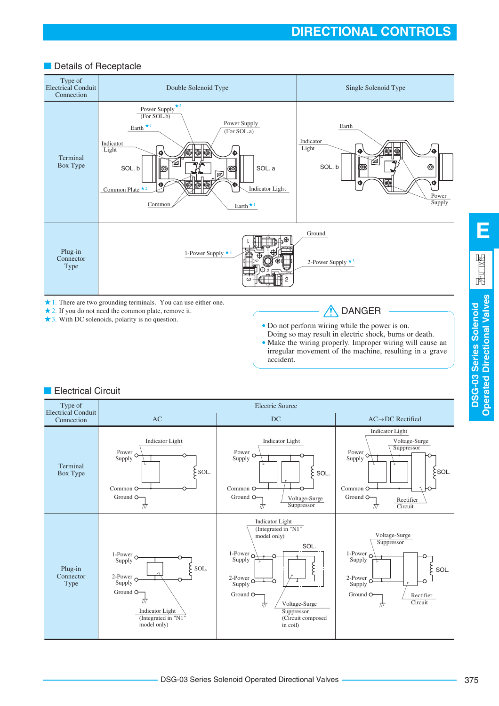### Details of Receptacle



accident.

2. If you do not need the common plate, remove it.

3. With DC solenoids, polarity is no question.

Do not perform wiring while the power is on.

Doing so may result in electric shock, burns or death. Make the wiring properly. Improper wiring will cause an irregular movement of the machine, resulting in a grave

# **Electrical Circuit**



**DSG-03 Series Solenoid Operated Directional Valves**

**Operated Directional Valves** DSG-03 Series Solenoid

**E**

园 汉图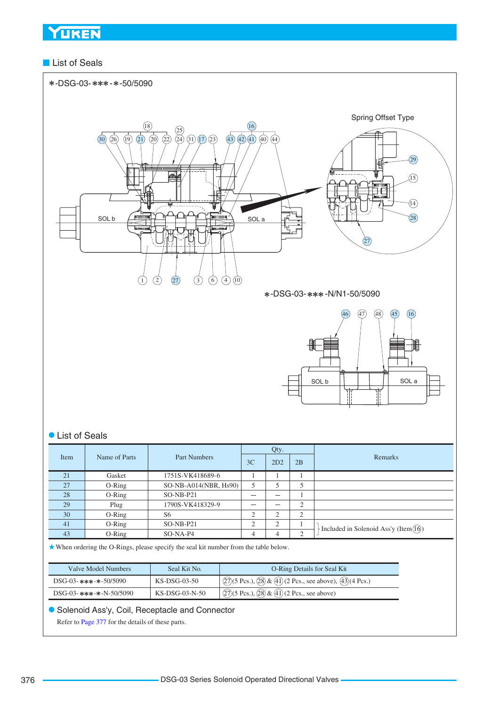### ■ List of Seals



### List of Seals

|      |                               |                       | Qty.           |                          |           |                                                     |
|------|-------------------------------|-----------------------|----------------|--------------------------|-----------|-----------------------------------------------------|
| Item | Name of Parts<br>Part Numbers | 3C                    | 2D2            | 2B                       | Remarks   |                                                     |
| 21   | Gasket                        | 1751S-VK418689-6      |                |                          |           |                                                     |
| 27   | $O-Ring$                      | SO-NB-A014(NBR, Hs90) |                | 5                        | ل         |                                                     |
| 28   | $O-Ring$                      | $SO-NB- P21$          | _              | $\overline{\phantom{a}}$ |           |                                                     |
| 29   | Plug                          | 1790S-VK418329-9      |                | -                        | ◠         |                                                     |
| 30   | $O-Ring$                      | S6                    | $\bigcap$      | ◠                        | $\bigcap$ |                                                     |
| 41   | $O-Ring$                      | $SO-NB- P21$          | $\bigcap$<br>∠ | 2                        |           |                                                     |
| 43   | $O-Ring$                      | $SO-NA-P4$            | 4              | 4                        | $\bigcap$ | Included in Solenoid Ass'y (Item $(\widehat{16})$ ) |

When ordering the O-Rings, please specify the seal kit number from the table below.

| Valve Model Numbers      | Seal Kit No.     | <b>O-Ring Details for Seal Kit</b>                                                                                        |
|--------------------------|------------------|---------------------------------------------------------------------------------------------------------------------------|
| DSG-03-***-*-50/5090     | KS-DSG-03-50     | $\sqrt{(27)(5 \text{ Pcs.})$ , $\sqrt{(28)} \& \sqrt{(41)} (2 \text{ Pcs.})$ , see above), $\sqrt{(43)} (4 \text{ Pcs.})$ |
| $DSG-03-***-*-N-50/5090$ | $KS-DSG-03-N-50$ | $\sqrt{(27)(5 \text{ Pcs.})}$ , $\sqrt{(28)(41)}$ (2 Pcs., see above)                                                     |

### Solenoid Ass'y, Coil, Receptacle and Connector

Refer to [Page 377](#page-16-0) for the details of these parts.